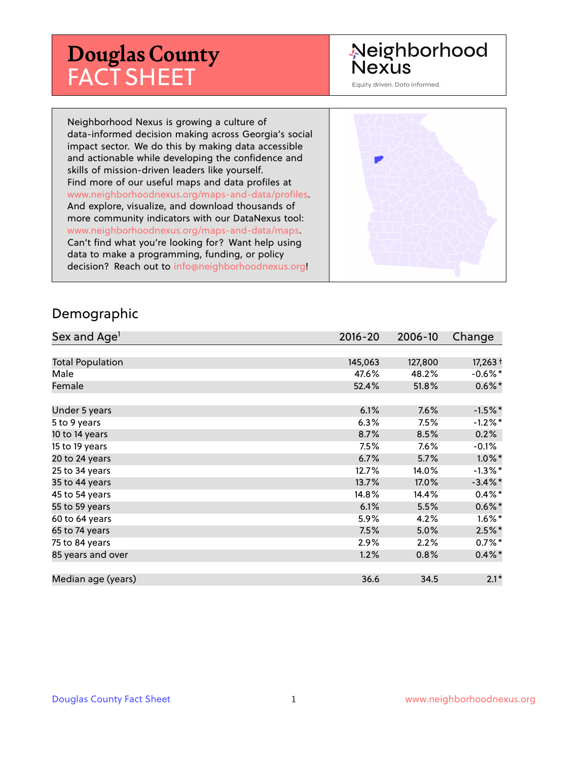# **Douglas County** FACT SHEET

# Neighborhood **Nexus**

Equity driven. Data informed.

Neighborhood Nexus is growing a culture of data-informed decision making across Georgia's social impact sector. We do this by making data accessible and actionable while developing the confidence and skills of mission-driven leaders like yourself. Find more of our useful maps and data profiles at www.neighborhoodnexus.org/maps-and-data/profiles. And explore, visualize, and download thousands of more community indicators with our DataNexus tool: www.neighborhoodnexus.org/maps-and-data/maps. Can't find what you're looking for? Want help using data to make a programming, funding, or policy decision? Reach out to [info@neighborhoodnexus.org!](mailto:info@neighborhoodnexus.org)



#### Demographic

| Sex and Age <sup>1</sup> | $2016 - 20$ | 2006-10 | Change     |
|--------------------------|-------------|---------|------------|
|                          |             |         |            |
| <b>Total Population</b>  | 145,063     | 127,800 | $17,263+$  |
| Male                     | 47.6%       | 48.2%   | $-0.6\%$ * |
| Female                   | 52.4%       | 51.8%   | $0.6\%$ *  |
|                          |             |         |            |
| Under 5 years            | 6.1%        | 7.6%    | $-1.5%$ *  |
| 5 to 9 years             | 6.3%        | 7.5%    | $-1.2\%$ * |
| 10 to 14 years           | 8.7%        | 8.5%    | 0.2%       |
| 15 to 19 years           | 7.5%        | 7.6%    | $-0.1%$    |
| 20 to 24 years           | 6.7%        | 5.7%    | $1.0\%$ *  |
| 25 to 34 years           | 12.7%       | 14.0%   | $-1.3\%$ * |
| 35 to 44 years           | 13.7%       | 17.0%   | $-3.4\%$ * |
| 45 to 54 years           | 14.8%       | 14.4%   | $0.4\%$ *  |
| 55 to 59 years           | 6.1%        | 5.5%    | $0.6\%$ *  |
| 60 to 64 years           | 5.9%        | 4.2%    | $1.6\%$ *  |
| 65 to 74 years           | 7.5%        | 5.0%    | $2.5%$ *   |
| 75 to 84 years           | 2.9%        | 2.2%    | $0.7%$ *   |
| 85 years and over        | 1.2%        | 0.8%    | $0.4\% *$  |
|                          |             |         |            |
| Median age (years)       | 36.6        | 34.5    | $2.1*$     |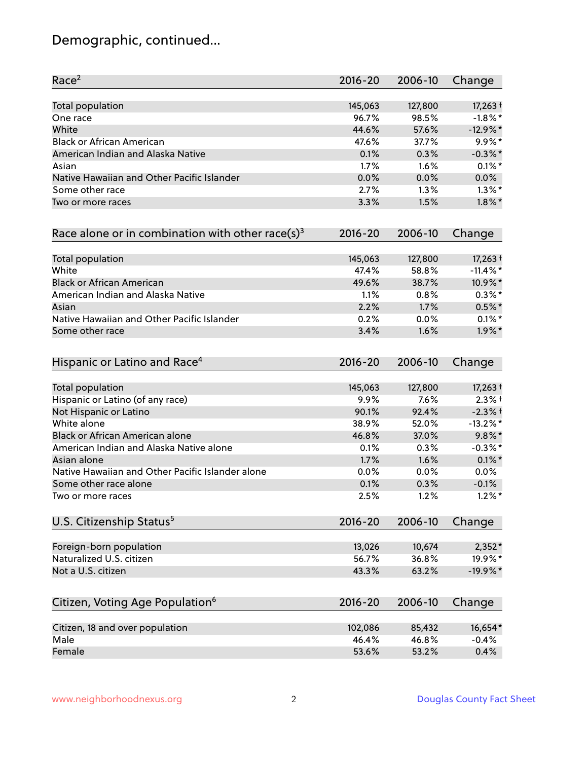# Demographic, continued...

| Race <sup>2</sup>                                   | $2016 - 20$ | 2006-10 | Change      |
|-----------------------------------------------------|-------------|---------|-------------|
| <b>Total population</b>                             | 145,063     | 127,800 | $17,263+$   |
| One race                                            | 96.7%       | 98.5%   | $-1.8\%$ *  |
| White                                               | 44.6%       | 57.6%   | $-12.9%$ *  |
| <b>Black or African American</b>                    | 47.6%       | 37.7%   | $9.9\%*$    |
| American Indian and Alaska Native                   | 0.1%        | 0.3%    | $-0.3\%$ *  |
| Asian                                               | 1.7%        | $1.6\%$ | $0.1\%$ *   |
| Native Hawaiian and Other Pacific Islander          | 0.0%        | 0.0%    | 0.0%        |
| Some other race                                     | 2.7%        | 1.3%    | $1.3\%$ *   |
| Two or more races                                   | 3.3%        | 1.5%    | $1.8\%$ *   |
| Race alone or in combination with other race(s) $3$ | $2016 - 20$ | 2006-10 | Change      |
| Total population                                    | 145,063     | 127,800 | $17,263+$   |
| White                                               | 47.4%       | 58.8%   | $-11.4\%$ * |
| <b>Black or African American</b>                    | 49.6%       | 38.7%   | 10.9%*      |
| American Indian and Alaska Native                   | 1.1%        | 0.8%    | $0.3\%*$    |
| Asian                                               | 2.2%        | 1.7%    | $0.5%$ *    |
| Native Hawaiian and Other Pacific Islander          | 0.2%        | 0.0%    | $0.1\%$ *   |
| Some other race                                     | 3.4%        | 1.6%    | $1.9\%$ *   |
| Hispanic or Latino and Race <sup>4</sup>            | $2016 - 20$ | 2006-10 | Change      |
| Total population                                    | 145,063     | 127,800 | $17,263+$   |
| Hispanic or Latino (of any race)                    | 9.9%        | 7.6%    | $2.3%$ +    |
| Not Hispanic or Latino                              | 90.1%       | 92.4%   | $-2.3%$ +   |
| White alone                                         | 38.9%       | 52.0%   | $-13.2\%$ * |
| Black or African American alone                     | 46.8%       | 37.0%   | $9.8\%$ *   |
| American Indian and Alaska Native alone             | 0.1%        | 0.3%    | $-0.3\%$ *  |
| Asian alone                                         | 1.7%        | 1.6%    | $0.1\%$ *   |
| Native Hawaiian and Other Pacific Islander alone    | 0.0%        | 0.0%    | 0.0%        |
| Some other race alone                               | 0.1%        | 0.3%    | $-0.1%$     |
| Two or more races                                   | 2.5%        | 1.2%    | $1.2\%$ *   |
| U.S. Citizenship Status <sup>5</sup>                | $2016 - 20$ | 2006-10 | Change      |
| Foreign-born population                             | 13,026      | 10,674  | $2,352*$    |
| Naturalized U.S. citizen                            | 56.7%       | 36.8%   | 19.9%*      |
| Not a U.S. citizen                                  | 43.3%       | 63.2%   | $-19.9%$ *  |
| Citizen, Voting Age Population <sup>6</sup>         | $2016 - 20$ | 2006-10 |             |
|                                                     |             |         | Change      |
| Citizen, 18 and over population                     | 102,086     | 85,432  | 16,654*     |
| Male                                                | 46.4%       | 46.8%   | $-0.4%$     |
| Female                                              | 53.6%       | 53.2%   | 0.4%        |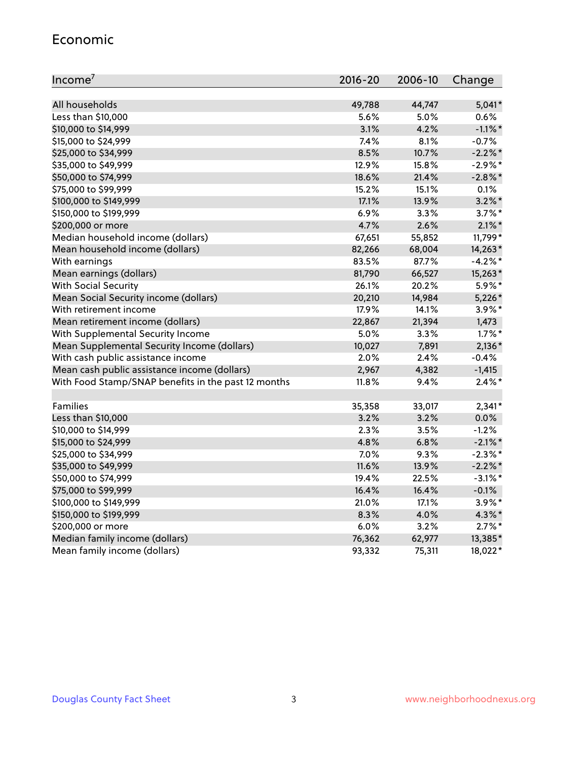#### Economic

| Income <sup>7</sup>                                 | 2016-20 | 2006-10 | Change     |
|-----------------------------------------------------|---------|---------|------------|
|                                                     |         |         |            |
| All households                                      | 49,788  | 44,747  | $5,041*$   |
| Less than \$10,000                                  | 5.6%    | 5.0%    | 0.6%       |
| \$10,000 to \$14,999                                | 3.1%    | 4.2%    | $-1.1\%$ * |
| \$15,000 to \$24,999                                | 7.4%    | 8.1%    | $-0.7%$    |
| \$25,000 to \$34,999                                | 8.5%    | 10.7%   | $-2.2%$    |
| \$35,000 to \$49,999                                | 12.9%   | 15.8%   | $-2.9%$ *  |
| \$50,000 to \$74,999                                | 18.6%   | 21.4%   | $-2.8\%$ * |
| \$75,000 to \$99,999                                | 15.2%   | 15.1%   | 0.1%       |
| \$100,000 to \$149,999                              | 17.1%   | 13.9%   | $3.2\%$ *  |
| \$150,000 to \$199,999                              | 6.9%    | 3.3%    | $3.7\%$ *  |
| \$200,000 or more                                   | 4.7%    | 2.6%    | $2.1\%$ *  |
| Median household income (dollars)                   | 67,651  | 55,852  | 11,799*    |
| Mean household income (dollars)                     | 82,266  | 68,004  | 14,263*    |
| With earnings                                       | 83.5%   | 87.7%   | $-4.2%$ *  |
| Mean earnings (dollars)                             | 81,790  | 66,527  | 15,263*    |
| <b>With Social Security</b>                         | 26.1%   | 20.2%   | 5.9%*      |
| Mean Social Security income (dollars)               | 20,210  | 14,984  | $5,226*$   |
| With retirement income                              | 17.9%   | 14.1%   | 3.9%*      |
| Mean retirement income (dollars)                    | 22,867  | 21,394  | 1,473      |
| With Supplemental Security Income                   | 5.0%    | 3.3%    | $1.7\%$ *  |
| Mean Supplemental Security Income (dollars)         | 10,027  | 7,891   | $2,136*$   |
| With cash public assistance income                  | 2.0%    | 2.4%    | $-0.4%$    |
| Mean cash public assistance income (dollars)        | 2,967   | 4,382   | $-1,415$   |
| With Food Stamp/SNAP benefits in the past 12 months | 11.8%   | 9.4%    | $2.4\%$ *  |
|                                                     |         |         |            |
| Families                                            | 35,358  | 33,017  | $2,341*$   |
| Less than \$10,000                                  | 3.2%    | 3.2%    | $0.0\%$    |
| \$10,000 to \$14,999                                | 2.3%    | 3.5%    | $-1.2%$    |
| \$15,000 to \$24,999                                | 4.8%    | 6.8%    | $-2.1\%$ * |
| \$25,000 to \$34,999                                | 7.0%    | 9.3%    | $-2.3\%$ * |
| \$35,000 to \$49,999                                | 11.6%   | 13.9%   | $-2.2\%$ * |
| \$50,000 to \$74,999                                | 19.4%   | 22.5%   | $-3.1\%$ * |
| \$75,000 to \$99,999                                | 16.4%   | 16.4%   | $-0.1%$    |
| \$100,000 to \$149,999                              | 21.0%   | 17.1%   | $3.9\%$ *  |
| \$150,000 to \$199,999                              | 8.3%    | 4.0%    | $4.3\%$ *  |
| \$200,000 or more                                   | 6.0%    | 3.2%    | $2.7\%$ *  |
| Median family income (dollars)                      | 76,362  | 62,977  | 13,385*    |
| Mean family income (dollars)                        | 93,332  | 75,311  | 18,022*    |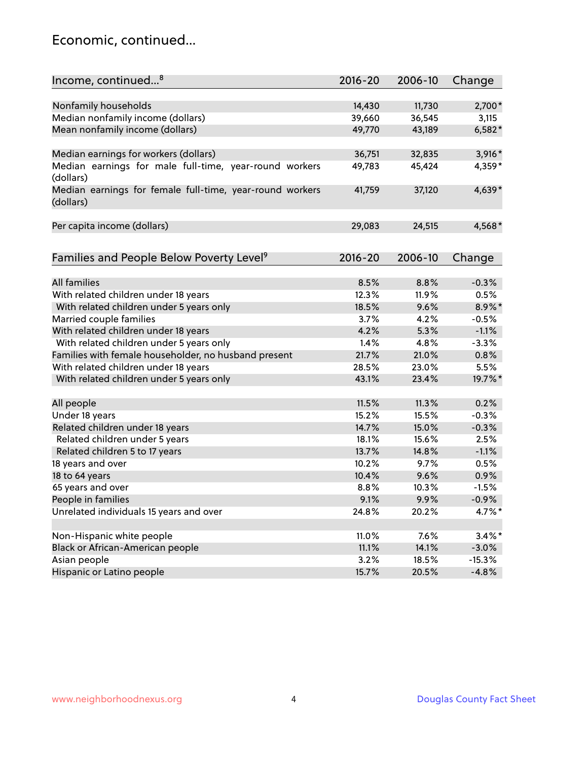### Economic, continued...

| Income, continued <sup>8</sup>                                        | $2016 - 20$ | 2006-10 | Change    |
|-----------------------------------------------------------------------|-------------|---------|-----------|
|                                                                       |             |         |           |
| Nonfamily households                                                  | 14,430      | 11,730  | 2,700*    |
| Median nonfamily income (dollars)                                     | 39,660      | 36,545  | 3,115     |
| Mean nonfamily income (dollars)                                       | 49,770      | 43,189  | $6,582*$  |
| Median earnings for workers (dollars)                                 | 36,751      | 32,835  | $3,916*$  |
| Median earnings for male full-time, year-round workers                | 49,783      | 45,424  | 4,359*    |
| (dollars)                                                             |             |         |           |
| Median earnings for female full-time, year-round workers<br>(dollars) | 41,759      | 37,120  | 4,639*    |
| Per capita income (dollars)                                           | 29,083      | 24,515  | 4,568*    |
|                                                                       |             |         |           |
| Families and People Below Poverty Level <sup>9</sup>                  | 2016-20     | 2006-10 | Change    |
|                                                                       |             |         |           |
| <b>All families</b>                                                   | 8.5%        | 8.8%    | $-0.3%$   |
| With related children under 18 years                                  | 12.3%       | 11.9%   | 0.5%      |
| With related children under 5 years only                              | 18.5%       | 9.6%    | 8.9%*     |
| Married couple families                                               | 3.7%        | 4.2%    | $-0.5%$   |
| With related children under 18 years                                  | 4.2%        | 5.3%    | $-1.1%$   |
| With related children under 5 years only                              | 1.4%        | 4.8%    | $-3.3%$   |
| Families with female householder, no husband present                  | 21.7%       | 21.0%   | 0.8%      |
| With related children under 18 years                                  | 28.5%       | 23.0%   | 5.5%      |
| With related children under 5 years only                              | 43.1%       | 23.4%   | 19.7%*    |
| All people                                                            | 11.5%       | 11.3%   | 0.2%      |
| Under 18 years                                                        | 15.2%       | 15.5%   | $-0.3%$   |
| Related children under 18 years                                       | 14.7%       | 15.0%   | $-0.3%$   |
| Related children under 5 years                                        | 18.1%       | 15.6%   | 2.5%      |
| Related children 5 to 17 years                                        | 13.7%       | 14.8%   | $-1.1%$   |
| 18 years and over                                                     | 10.2%       | 9.7%    | 0.5%      |
| 18 to 64 years                                                        | 10.4%       | 9.6%    | 0.9%      |
| 65 years and over                                                     | 8.8%        | 10.3%   | $-1.5%$   |
| People in families                                                    | 9.1%        | 9.9%    | $-0.9%$   |
| Unrelated individuals 15 years and over                               | 24.8%       | 20.2%   | 4.7%*     |
|                                                                       |             |         |           |
| Non-Hispanic white people                                             | 11.0%       | 7.6%    | $3.4\%$ * |
| Black or African-American people                                      | 11.1%       | 14.1%   | $-3.0%$   |
| Asian people                                                          | 3.2%        | 18.5%   | $-15.3%$  |
|                                                                       |             |         | $-4.8%$   |
| Hispanic or Latino people                                             | 15.7%       | 20.5%   |           |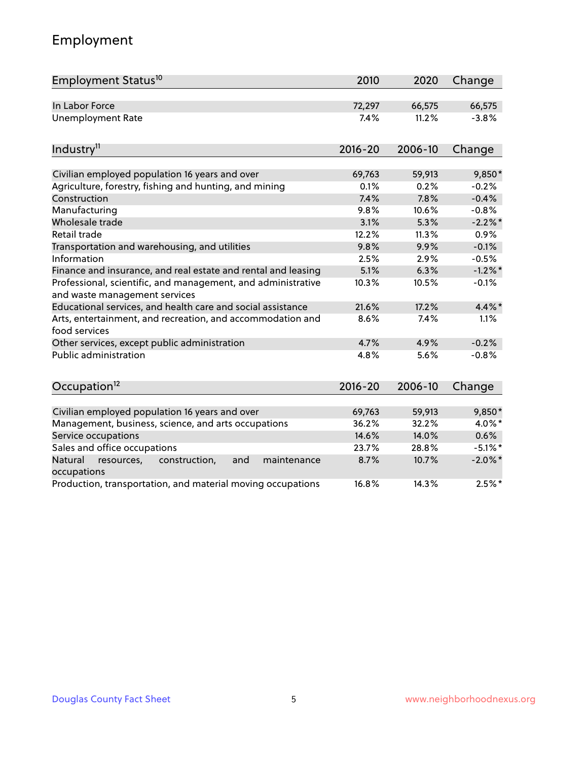# Employment

| Employment Status <sup>10</sup>                                                               | 2010        | 2020    | Change     |
|-----------------------------------------------------------------------------------------------|-------------|---------|------------|
| In Labor Force                                                                                | 72,297      | 66,575  | 66,575     |
| <b>Unemployment Rate</b>                                                                      | 7.4%        | 11.2%   | $-3.8%$    |
| Industry <sup>11</sup>                                                                        | $2016 - 20$ | 2006-10 | Change     |
| Civilian employed population 16 years and over                                                | 69,763      | 59,913  | 9,850*     |
| Agriculture, forestry, fishing and hunting, and mining                                        | 0.1%        | 0.2%    | $-0.2%$    |
| Construction                                                                                  | 7.4%        | 7.8%    | $-0.4%$    |
| Manufacturing                                                                                 | 9.8%        | 10.6%   | $-0.8%$    |
| Wholesale trade                                                                               | 3.1%        | 5.3%    | $-2.2%$ *  |
| Retail trade                                                                                  | 12.2%       | 11.3%   | 0.9%       |
| Transportation and warehousing, and utilities                                                 | 9.8%        | 9.9%    | $-0.1%$    |
| Information                                                                                   | 2.5%        | 2.9%    | $-0.5%$    |
| Finance and insurance, and real estate and rental and leasing                                 | 5.1%        | 6.3%    | $-1.2\%$ * |
| Professional, scientific, and management, and administrative<br>and waste management services | 10.3%       | 10.5%   | $-0.1%$    |
| Educational services, and health care and social assistance                                   | 21.6%       | 17.2%   | $4.4\%$ *  |
| Arts, entertainment, and recreation, and accommodation and<br>food services                   | 8.6%        | 7.4%    | 1.1%       |
| Other services, except public administration                                                  | 4.7%        | 4.9%    | $-0.2%$    |
| Public administration                                                                         | 4.8%        | 5.6%    | $-0.8%$    |
| Occupation <sup>12</sup>                                                                      | $2016 - 20$ | 2006-10 | Change     |
|                                                                                               |             |         |            |
| Civilian employed population 16 years and over                                                | 69,763      | 59,913  | 9,850*     |
| Management, business, science, and arts occupations                                           | 36.2%       | 32.2%   | 4.0%*      |
| Service occupations                                                                           | 14.6%       | 14.0%   | 0.6%       |
| Sales and office occupations                                                                  | 23.7%       | 28.8%   | $-5.1\%$ * |
| Natural<br>resources,<br>construction,<br>and<br>maintenance<br>occupations                   | 8.7%        | 10.7%   | $-2.0\%$ * |
| Production, transportation, and material moving occupations                                   | 16.8%       | 14.3%   | $2.5%$ *   |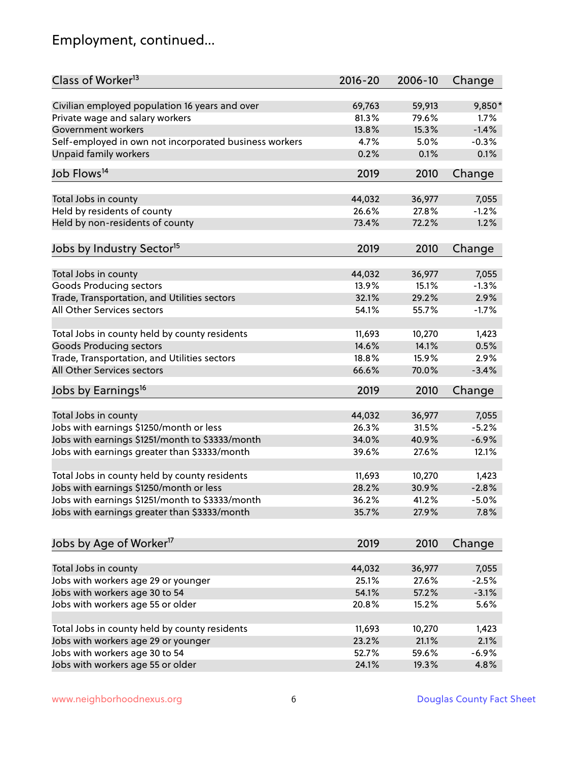# Employment, continued...

| Class of Worker <sup>13</sup>                                         | $2016 - 20$     | 2006-10 | Change   |
|-----------------------------------------------------------------------|-----------------|---------|----------|
| Civilian employed population 16 years and over                        | 69,763          | 59,913  | 9,850*   |
| Private wage and salary workers                                       | 81.3%           | 79.6%   | 1.7%     |
| Government workers                                                    | 13.8%           | 15.3%   | $-1.4%$  |
| Self-employed in own not incorporated business workers                | 4.7%            | 5.0%    | $-0.3%$  |
| <b>Unpaid family workers</b>                                          | 0.2%            | 0.1%    | 0.1%     |
| Job Flows <sup>14</sup>                                               | 2019            | 2010    | Change   |
|                                                                       |                 |         |          |
| Total Jobs in county                                                  | 44,032<br>26.6% | 36,977  | 7,055    |
| Held by residents of county                                           |                 | 27.8%   | $-1.2%$  |
| Held by non-residents of county                                       | 73.4%           | 72.2%   | 1.2%     |
| Jobs by Industry Sector <sup>15</sup>                                 | 2019            | 2010    | Change   |
| Total Jobs in county                                                  | 44,032          | 36,977  | 7,055    |
| <b>Goods Producing sectors</b>                                        | 13.9%           | 15.1%   | $-1.3%$  |
| Trade, Transportation, and Utilities sectors                          | 32.1%           | 29.2%   | 2.9%     |
| All Other Services sectors                                            | 54.1%           | 55.7%   | $-1.7%$  |
|                                                                       |                 |         |          |
| Total Jobs in county held by county residents                         | 11,693          | 10,270  | 1,423    |
| <b>Goods Producing sectors</b>                                        | 14.6%           | 14.1%   | 0.5%     |
| Trade, Transportation, and Utilities sectors                          | 18.8%           | 15.9%   | 2.9%     |
| All Other Services sectors                                            | 66.6%           | 70.0%   | $-3.4%$  |
| Jobs by Earnings <sup>16</sup>                                        | 2019            | 2010    | Change   |
| Total Jobs in county                                                  | 44,032          | 36,977  | 7,055    |
| Jobs with earnings \$1250/month or less                               | 26.3%           | 31.5%   | $-5.2%$  |
| Jobs with earnings \$1251/month to \$3333/month                       | 34.0%           | 40.9%   | $-6.9%$  |
| Jobs with earnings greater than \$3333/month                          | 39.6%           | 27.6%   | 12.1%    |
|                                                                       |                 |         |          |
| Total Jobs in county held by county residents                         | 11,693          | 10,270  | 1,423    |
| Jobs with earnings \$1250/month or less                               | 28.2%           | 30.9%   | $-2.8%$  |
| Jobs with earnings \$1251/month to \$3333/month                       | 36.2%           | 41.2%   | $-5.0\%$ |
| Jobs with earnings greater than \$3333/month                          | 35.7%           | 27.9%   | 7.8%     |
| Jobs by Age of Worker <sup>17</sup>                                   | 2019            | 2010    | Change   |
|                                                                       |                 |         |          |
| Total Jobs in county                                                  | 44,032          | 36,977  | 7,055    |
| Jobs with workers age 29 or younger                                   | 25.1%           | 27.6%   | $-2.5%$  |
| Jobs with workers age 30 to 54                                        | 54.1%           | 57.2%   | $-3.1%$  |
| Jobs with workers age 55 or older                                     | 20.8%           | 15.2%   | 5.6%     |
| Total Jobs in county held by county residents                         | 11,693          | 10,270  | 1,423    |
|                                                                       | 23.2%           | 21.1%   | 2.1%     |
| Jobs with workers age 29 or younger<br>Jobs with workers age 30 to 54 | 52.7%           | 59.6%   | $-6.9%$  |
|                                                                       | 24.1%           | 19.3%   | 4.8%     |
| Jobs with workers age 55 or older                                     |                 |         |          |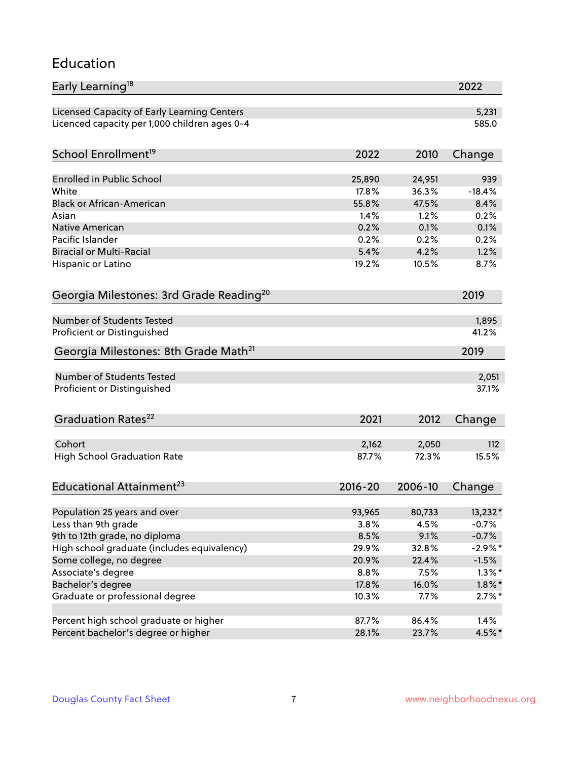#### Education

| Early Learning <sup>18</sup>                         |             |         | 2022      |
|------------------------------------------------------|-------------|---------|-----------|
| Licensed Capacity of Early Learning Centers          |             |         | 5,231     |
| Licenced capacity per 1,000 children ages 0-4        |             |         | 585.0     |
| School Enrollment <sup>19</sup>                      | 2022        | 2010    | Change    |
|                                                      |             |         |           |
| <b>Enrolled in Public School</b>                     | 25,890      | 24,951  | 939       |
| White                                                | 17.8%       | 36.3%   | $-18.4%$  |
| <b>Black or African-American</b>                     | 55.8%       | 47.5%   | 8.4%      |
| Asian                                                | 1.4%        | 1.2%    | 0.2%      |
| Native American                                      | 0.2%        | 0.1%    | 0.1%      |
| Pacific Islander                                     | 0.2%        | 0.2%    | 0.2%      |
| <b>Biracial or Multi-Racial</b>                      | 5.4%        | 4.2%    | 1.2%      |
| Hispanic or Latino                                   | 19.2%       | 10.5%   | 8.7%      |
| Georgia Milestones: 3rd Grade Reading <sup>20</sup>  |             |         | 2019      |
|                                                      |             |         |           |
| Number of Students Tested                            |             |         | 1,895     |
| Proficient or Distinguished                          |             |         | 41.2%     |
| Georgia Milestones: 8th Grade Math <sup>21</sup>     |             |         | 2019      |
| Number of Students Tested                            |             |         | 2,051     |
|                                                      |             |         |           |
| Proficient or Distinguished                          |             |         | 37.1%     |
| Graduation Rates <sup>22</sup>                       | 2021        | 2012    | Change    |
| Cohort                                               | 2,162       | 2,050   | 112       |
| <b>High School Graduation Rate</b>                   | 87.7%       | 72.3%   | 15.5%     |
|                                                      |             |         |           |
| Educational Attainment <sup>23</sup>                 | $2016 - 20$ | 2006-10 | Change    |
| Population 25 years and over                         | 93,965      | 80,733  | 13,232*   |
| Less than 9th grade                                  | 3.8%        | 4.5%    | $-0.7%$   |
| 9th to 12th grade, no diploma                        | 8.5%        | 9.1%    | $-0.7%$   |
| High school graduate (includes equivalency)          | 29.9%       | 32.8%   | $-2.9\%*$ |
| Some college, no degree                              | 20.9%       | 22.4%   | $-1.5%$   |
| Associate's degree                                   | 8.8%        | 7.5%    | $1.3\%$ * |
|                                                      | 17.8%       | 16.0%   |           |
| Bachelor's degree<br>Graduate or professional degree |             |         | $1.8\%$ * |
|                                                      | 10.3%       | 7.7%    | $2.7\%$ * |
| Percent high school graduate or higher               | 87.7%       | 86.4%   | 1.4%      |
| Percent bachelor's degree or higher                  | 28.1%       | 23.7%   | 4.5%*     |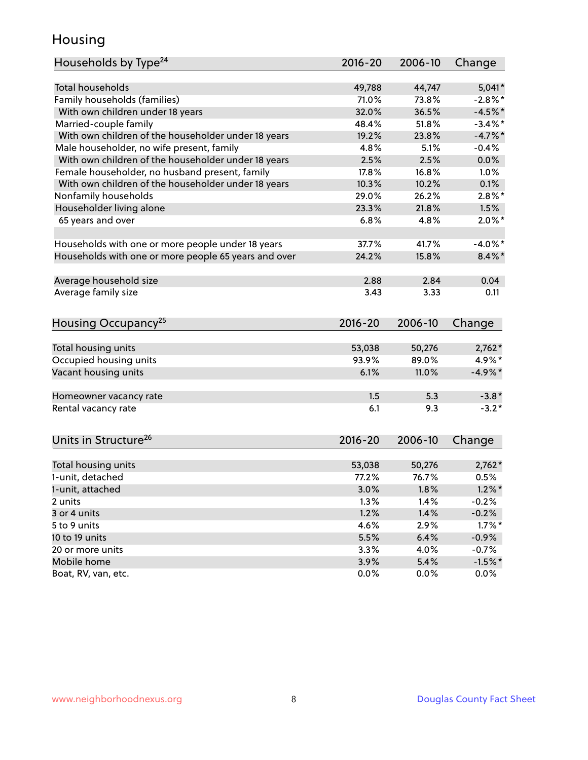### Housing

| Households by Type <sup>24</sup>                     | 2016-20 | 2006-10 | Change     |
|------------------------------------------------------|---------|---------|------------|
|                                                      |         |         |            |
| <b>Total households</b>                              | 49,788  | 44,747  | $5,041*$   |
| Family households (families)                         | 71.0%   | 73.8%   | $-2.8%$    |
| With own children under 18 years                     | 32.0%   | 36.5%   | $-4.5%$ *  |
| Married-couple family                                | 48.4%   | 51.8%   | $-3.4\%$ * |
| With own children of the householder under 18 years  | 19.2%   | 23.8%   | $-4.7\%$ * |
| Male householder, no wife present, family            | 4.8%    | 5.1%    | $-0.4%$    |
| With own children of the householder under 18 years  | 2.5%    | 2.5%    | 0.0%       |
| Female householder, no husband present, family       | 17.8%   | 16.8%   | $1.0\%$    |
| With own children of the householder under 18 years  | 10.3%   | 10.2%   | 0.1%       |
| Nonfamily households                                 | 29.0%   | 26.2%   | $2.8\%$ *  |
| Householder living alone                             | 23.3%   | 21.8%   | 1.5%       |
| 65 years and over                                    | 6.8%    | 4.8%    | $2.0\%$ *  |
|                                                      |         |         |            |
| Households with one or more people under 18 years    | 37.7%   | 41.7%   | $-4.0\%$ * |
| Households with one or more people 65 years and over | 24.2%   | 15.8%   | $8.4\%$ *  |
| Average household size                               | 2.88    | 2.84    | 0.04       |
| Average family size                                  | 3.43    | 3.33    | 0.11       |
|                                                      |         |         |            |
| Housing Occupancy <sup>25</sup>                      | 2016-20 | 2006-10 | Change     |
|                                                      |         |         |            |
| Total housing units                                  | 53,038  | 50,276  | $2,762*$   |
| Occupied housing units                               | 93.9%   | 89.0%   | 4.9%*      |
| Vacant housing units                                 | 6.1%    | 11.0%   | $-4.9\%*$  |
| Homeowner vacancy rate                               | 1.5     | 5.3     | $-3.8*$    |
| Rental vacancy rate                                  | 6.1     | 9.3     | $-3.2*$    |
|                                                      |         |         |            |
| Units in Structure <sup>26</sup>                     | 2016-20 | 2006-10 | Change     |
| Total housing units                                  | 53,038  | 50,276  | $2,762*$   |
| 1-unit, detached                                     | 77.2%   | 76.7%   | 0.5%       |
| 1-unit, attached                                     | 3.0%    | 1.8%    | $1.2\%$ *  |
| 2 units                                              | 1.3%    | 1.4%    | $-0.2%$    |
| 3 or 4 units                                         | 1.2%    | 1.4%    | $-0.2%$    |
| 5 to 9 units                                         | 4.6%    | 2.9%    | $1.7\%$ *  |
| 10 to 19 units                                       | 5.5%    | 6.4%    | $-0.9\%$   |
| 20 or more units                                     | 3.3%    | 4.0%    | $-0.7%$    |
| Mobile home                                          | 3.9%    | 5.4%    | $-1.5%$ *  |
| Boat, RV, van, etc.                                  | 0.0%    | $0.0\%$ | $0.0\%$    |
|                                                      |         |         |            |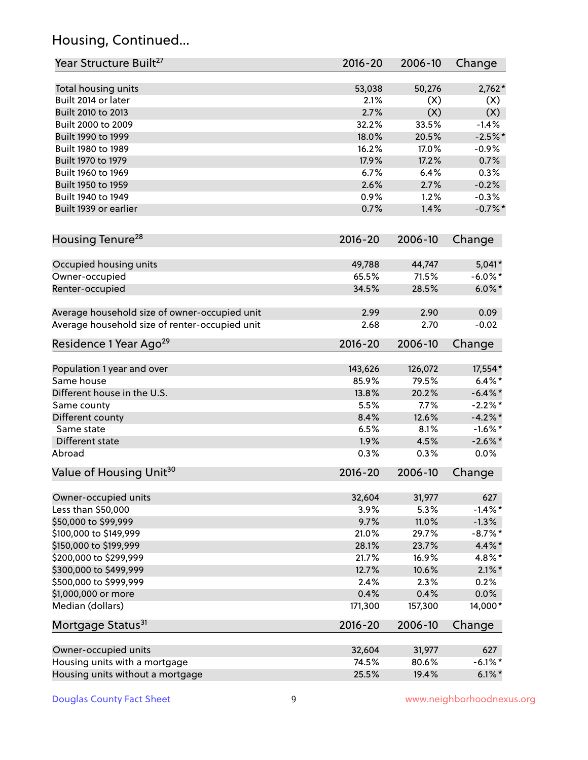# Housing, Continued...

| Year Structure Built <sup>27</sup>             | 2016-20     | 2006-10 | Change     |
|------------------------------------------------|-------------|---------|------------|
| Total housing units                            | 53,038      | 50,276  | $2,762*$   |
| Built 2014 or later                            | 2.1%        | (X)     | (X)        |
| Built 2010 to 2013                             | 2.7%        | (X)     | (X)        |
| Built 2000 to 2009                             | 32.2%       | 33.5%   | $-1.4%$    |
| Built 1990 to 1999                             | 18.0%       | 20.5%   | $-2.5%$ *  |
| Built 1980 to 1989                             | 16.2%       | 17.0%   | $-0.9%$    |
| Built 1970 to 1979                             | 17.9%       | 17.2%   | 0.7%       |
| Built 1960 to 1969                             | 6.7%        | 6.4%    | 0.3%       |
| Built 1950 to 1959                             | 2.6%        | 2.7%    | $-0.2%$    |
| Built 1940 to 1949                             | 0.9%        | 1.2%    | $-0.3%$    |
| Built 1939 or earlier                          | 0.7%        | 1.4%    | $-0.7%$ *  |
| Housing Tenure <sup>28</sup>                   | $2016 - 20$ | 2006-10 | Change     |
| Occupied housing units                         | 49,788      | 44,747  | $5,041*$   |
| Owner-occupied                                 | 65.5%       | 71.5%   | $-6.0\%$ * |
| Renter-occupied                                | 34.5%       | 28.5%   | $6.0\%$ *  |
| Average household size of owner-occupied unit  | 2.99        | 2.90    | 0.09       |
| Average household size of renter-occupied unit | 2.68        | 2.70    | $-0.02$    |
| Residence 1 Year Ago <sup>29</sup>             | 2016-20     | 2006-10 | Change     |
| Population 1 year and over                     | 143,626     | 126,072 | 17,554*    |
| Same house                                     | 85.9%       | 79.5%   | $6.4\%$ *  |
| Different house in the U.S.                    | 13.8%       | 20.2%   | $-6.4\%$ * |
| Same county                                    | 5.5%        | 7.7%    | $-2.2%$ *  |
| Different county                               | 8.4%        | 12.6%   | $-4.2\%$ * |
| Same state                                     | 6.5%        | 8.1%    | $-1.6%$ *  |
| Different state                                | 1.9%        | 4.5%    | $-2.6\%$ * |
| Abroad                                         | 0.3%        | 0.3%    | 0.0%       |
| Value of Housing Unit <sup>30</sup>            | $2016 - 20$ | 2006-10 | Change     |
| Owner-occupied units                           | 32,604      | 31,977  | 627        |
| Less than \$50,000                             | 3.9%        | 5.3%    | $-1.4%$ *  |
| \$50,000 to \$99,999                           | 9.7%        | 11.0%   | $-1.3%$    |
| \$100,000 to \$149,999                         | 21.0%       | 29.7%   | $-8.7\%$ * |
| \$150,000 to \$199,999                         | 28.1%       | 23.7%   | 4.4%*      |
| \$200,000 to \$299,999                         | 21.7%       | 16.9%   | 4.8%*      |
| \$300,000 to \$499,999                         | 12.7%       | 10.6%   | $2.1\%$ *  |
| \$500,000 to \$999,999                         | 2.4%        | 2.3%    | 0.2%       |
| \$1,000,000 or more                            | 0.4%        | 0.4%    | 0.0%       |
| Median (dollars)                               | 171,300     | 157,300 | 14,000*    |
| Mortgage Status <sup>31</sup>                  | 2016-20     | 2006-10 | Change     |
| Owner-occupied units                           | 32,604      | 31,977  | 627        |
| Housing units with a mortgage                  | 74.5%       | 80.6%   | $-6.1\%$ * |
| Housing units without a mortgage               | 25.5%       | 19.4%   | $6.1\%$ *  |
|                                                |             |         |            |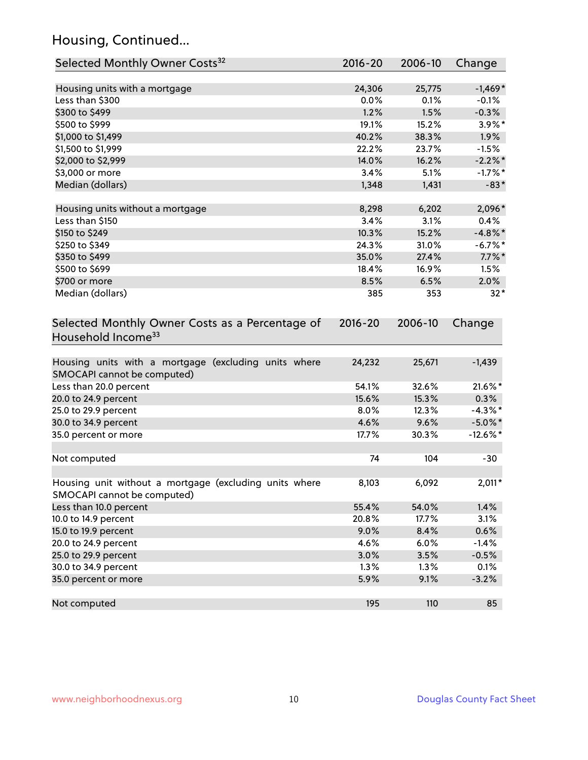# Housing, Continued...

| Selected Monthly Owner Costs <sup>32</sup>                                            | $2016 - 20$ | 2006-10 | Change      |
|---------------------------------------------------------------------------------------|-------------|---------|-------------|
| Housing units with a mortgage                                                         | 24,306      | 25,775  | $-1,469*$   |
| Less than \$300                                                                       | 0.0%        | 0.1%    | $-0.1%$     |
| \$300 to \$499                                                                        | 1.2%        | 1.5%    | $-0.3%$     |
| \$500 to \$999                                                                        | 19.1%       | 15.2%   | 3.9%*       |
| \$1,000 to \$1,499                                                                    | 40.2%       | 38.3%   | 1.9%        |
| \$1,500 to \$1,999                                                                    | 22.2%       | 23.7%   | $-1.5%$     |
| \$2,000 to \$2,999                                                                    | 14.0%       | 16.2%   | $-2.2\%$ *  |
| \$3,000 or more                                                                       | 3.4%        | 5.1%    | $-1.7%$ *   |
| Median (dollars)                                                                      | 1,348       | 1,431   | $-83*$      |
| Housing units without a mortgage                                                      | 8,298       | 6,202   | 2,096*      |
| Less than \$150                                                                       | 3.4%        | 3.1%    | 0.4%        |
| \$150 to \$249                                                                        | 10.3%       | 15.2%   | $-4.8\%$ *  |
| \$250 to \$349                                                                        | 24.3%       | 31.0%   | $-6.7%$ *   |
| \$350 to \$499                                                                        | 35.0%       | 27.4%   | $7.7\%$ *   |
| \$500 to \$699                                                                        | 18.4%       | 16.9%   | 1.5%        |
| \$700 or more                                                                         | 8.5%        | 6.5%    | 2.0%        |
| Median (dollars)                                                                      | 385         | 353     | $32*$       |
| Selected Monthly Owner Costs as a Percentage of<br>Household Income <sup>33</sup>     |             | 2006-10 | Change      |
| Housing units with a mortgage (excluding units where<br>SMOCAPI cannot be computed)   | 24,232      | 25,671  | $-1,439$    |
| Less than 20.0 percent                                                                | 54.1%       | 32.6%   | 21.6%*      |
| 20.0 to 24.9 percent                                                                  | 15.6%       | 15.3%   | 0.3%        |
| 25.0 to 29.9 percent                                                                  | 8.0%        | 12.3%   | $-4.3\%$ *  |
| 30.0 to 34.9 percent                                                                  | 4.6%        | 9.6%    | $-5.0\%$ *  |
| 35.0 percent or more                                                                  | 17.7%       | 30.3%   | $-12.6\%$ * |
| Not computed                                                                          | 74          | 104     | $-30$       |
| Housing unit without a mortgage (excluding units where<br>SMOCAPI cannot be computed) | 8,103       | 6,092   | $2,011*$    |
| Less than 10.0 percent                                                                | 55.4%       | 54.0%   | 1.4%        |
| 10.0 to 14.9 percent                                                                  | 20.8%       | 17.7%   | 3.1%        |
| 15.0 to 19.9 percent                                                                  | 9.0%        | 8.4%    | 0.6%        |
| 20.0 to 24.9 percent                                                                  | 4.6%        | 6.0%    | $-1.4%$     |
| 25.0 to 29.9 percent                                                                  | 3.0%        | 3.5%    | $-0.5%$     |
| 30.0 to 34.9 percent                                                                  | 1.3%        | 1.3%    | 0.1%        |
| 35.0 percent or more                                                                  | 5.9%        | 9.1%    | $-3.2%$     |
| Not computed                                                                          | 195         | 110     | 85          |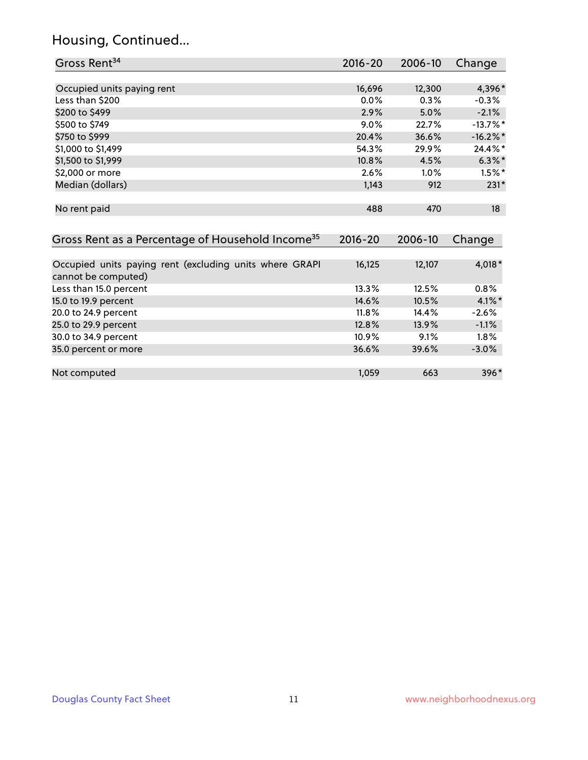#### Housing, Continued...

35.0 percent or more

| Gross Rent <sup>34</sup>                                                       | $2016 - 20$ | 2006-10 | Change     |
|--------------------------------------------------------------------------------|-------------|---------|------------|
|                                                                                |             |         |            |
| Occupied units paying rent                                                     | 16,696      | 12,300  | 4,396*     |
| Less than \$200                                                                | 0.0%        | 0.3%    | $-0.3%$    |
| \$200 to \$499                                                                 | 2.9%        | 5.0%    | $-2.1%$    |
| \$500 to \$749                                                                 | 9.0%        | 22.7%   | $-13.7%$ * |
| \$750 to \$999                                                                 | 20.4%       | 36.6%   | $-16.2%$ * |
| \$1,000 to \$1,499                                                             | 54.3%       | 29.9%   | 24.4%*     |
| \$1,500 to \$1,999                                                             | $10.8\%$    | 4.5%    | $6.3\%$ *  |
| \$2,000 or more                                                                | $2.6\%$     | $1.0\%$ | $1.5\%$ *  |
| Median (dollars)                                                               | 1,143       | 912     | $231*$     |
|                                                                                |             |         |            |
| No rent paid                                                                   | 488         | 470     | 18         |
|                                                                                |             |         |            |
| Gross Rent as a Percentage of Household Income <sup>35</sup>                   | $2016 - 20$ | 2006-10 | Change     |
|                                                                                |             |         |            |
| Occupied units paying rent (excluding units where GRAPI<br>cannot be computed) | 16,125      | 12,107  | 4,018*     |
| Less than 15.0 percent                                                         | 13.3%       | 12.5%   | 0.8%       |

15.0 to 19.9 percent 14.6% 10.5% 4.1%\* 20.0 to 24.9 percent 20.0 to 24.9 percent 2.6% 25.0 to 29.9 percent 12.8% 13.9% -1.1% 30.0 to 34.9 percent 10.9% 9.1% 1.8% 9.1% 1.8% 9.1% 1.8% 9.1% 1.8% 9.1% 1.8% 9.1% 1.8% 9.1% 1.8% 9.1% 1.8% 9.1<br>35.0 percent or more

Not computed and the set of the set of the set of the set of the set of the set of the set of the set of the set of the set of the set of the set of the set of the set of the set of the set of the set of the set of the set

|  |  | <b>Douglas County Fact Sheet</b> |  |
|--|--|----------------------------------|--|
|--|--|----------------------------------|--|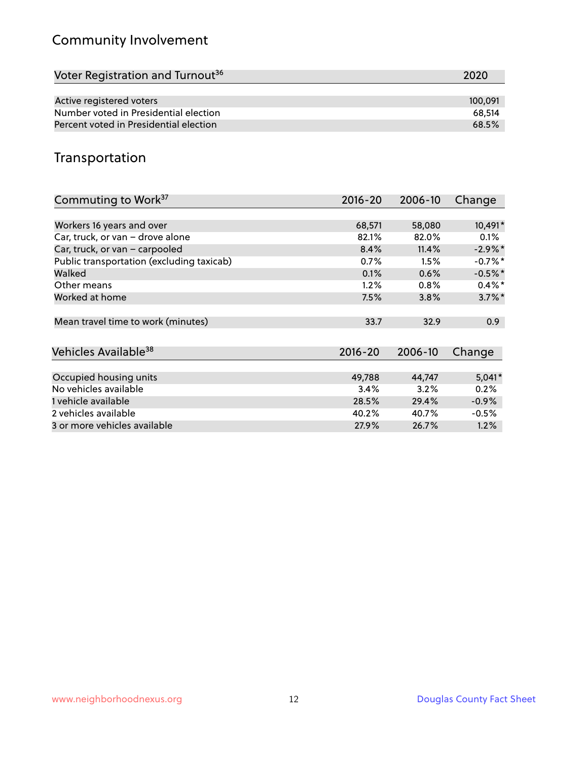# Community Involvement

| Voter Registration and Turnout <sup>36</sup> | 2020    |
|----------------------------------------------|---------|
|                                              |         |
| Active registered voters                     | 100.091 |
| Number voted in Presidential election        | 68.514  |
| Percent voted in Presidential election       | 68.5%   |

## Transportation

| Commuting to Work <sup>37</sup>           | 2016-20     | 2006-10 | Change    |
|-------------------------------------------|-------------|---------|-----------|
|                                           |             |         |           |
| Workers 16 years and over                 | 68,571      | 58,080  | 10,491*   |
| Car, truck, or van - drove alone          | 82.1%       | 82.0%   | $0.1\%$   |
| Car, truck, or van - carpooled            | 8.4%        | 11.4%   | $-2.9\%*$ |
| Public transportation (excluding taxicab) | 0.7%        | 1.5%    | $-0.7%$ * |
| Walked                                    | 0.1%        | 0.6%    | $-0.5%$ * |
| Other means                               | 1.2%        | 0.8%    | $0.4\%$ * |
| Worked at home                            | 7.5%        | 3.8%    | $3.7\%$ * |
|                                           |             |         |           |
| Mean travel time to work (minutes)        | 33.7        | 32.9    | 0.9       |
|                                           |             |         |           |
| Vehicles Available <sup>38</sup>          | $2016 - 20$ | 2006-10 | Change    |
|                                           |             |         |           |
| Occupied housing units                    | 49,788      | 44,747  | $5,041*$  |
| No vehicles available                     | 3.4%        | 3.2%    | 0.2%      |
| 1 vehicle available                       | 28.5%       | 29.4%   | $-0.9%$   |
| 2 vehicles available                      | 40.2%       | 40.7%   | $-0.5%$   |
| 3 or more vehicles available              | 27.9%       | 26.7%   | 1.2%      |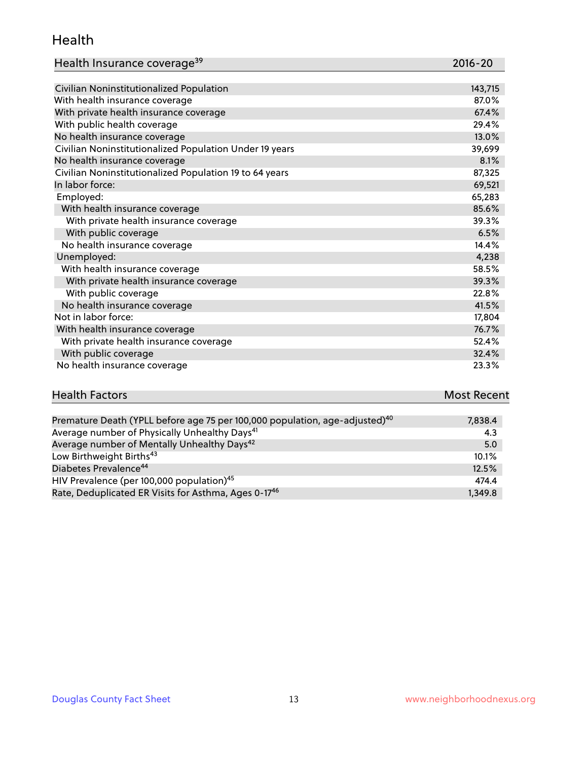#### Health

| Health Insurance coverage <sup>39</sup> | 2016-20 |
|-----------------------------------------|---------|
|-----------------------------------------|---------|

| Civilian Noninstitutionalized Population                | 143,715 |
|---------------------------------------------------------|---------|
| With health insurance coverage                          | 87.0%   |
| With private health insurance coverage                  | 67.4%   |
| With public health coverage                             | 29.4%   |
| No health insurance coverage                            | 13.0%   |
| Civilian Noninstitutionalized Population Under 19 years | 39,699  |
| No health insurance coverage                            | 8.1%    |
| Civilian Noninstitutionalized Population 19 to 64 years | 87,325  |
| In labor force:                                         | 69,521  |
| Employed:                                               | 65,283  |
| With health insurance coverage                          | 85.6%   |
| With private health insurance coverage                  | 39.3%   |
| With public coverage                                    | 6.5%    |
| No health insurance coverage                            | 14.4%   |
| Unemployed:                                             | 4,238   |
| With health insurance coverage                          | 58.5%   |
| With private health insurance coverage                  | 39.3%   |
| With public coverage                                    | 22.8%   |
| No health insurance coverage                            | 41.5%   |
| Not in labor force:                                     | 17,804  |
| With health insurance coverage                          | 76.7%   |
| With private health insurance coverage                  | 52.4%   |
| With public coverage                                    | 32.4%   |
| No health insurance coverage                            | 23.3%   |

| <b>Health Factors</b>                                                                   | <b>Most Recent</b> |
|-----------------------------------------------------------------------------------------|--------------------|
|                                                                                         |                    |
| Premature Death (YPLL before age 75 per 100,000 population, age-adjusted) <sup>40</sup> | 7.838.4            |
| Average number of Physically Unhealthy Days <sup>41</sup>                               | 4.3                |

| Average number of Mentally Unhealthy Days <sup>42</sup>          | 5.0     |
|------------------------------------------------------------------|---------|
| Low Birthweight Births <sup>43</sup>                             | 10.1%   |
| Diabetes Prevalence <sup>44</sup>                                | 12.5%   |
| HIV Prevalence (per 100,000 population) <sup>45</sup>            | 474.4   |
| Rate, Deduplicated ER Visits for Asthma, Ages 0-17 <sup>46</sup> | 1.349.8 |